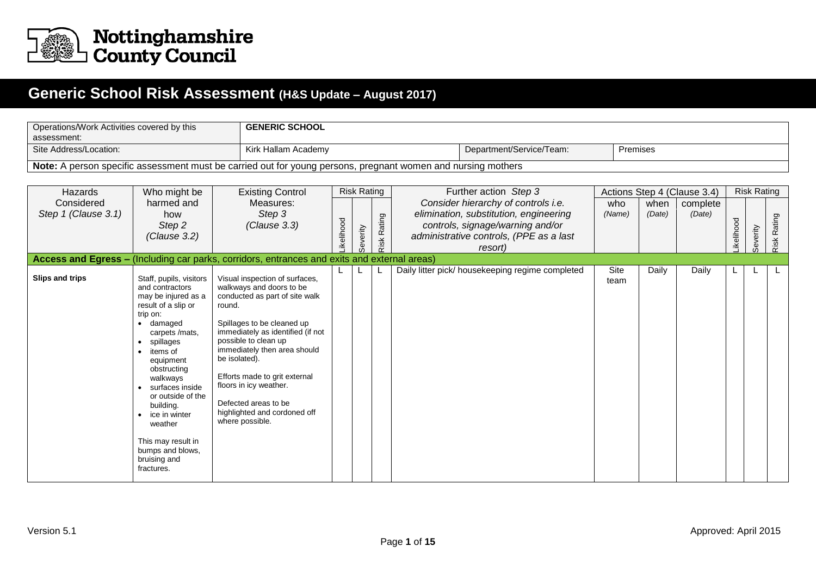

## **Generic School Risk Assessment (H&S Update – August 2017)**

| assessment:            | <b>GENERIC SCHOOL</b><br>Operations/Work Activities covered by this                                                                                                                                                                                                                                                                                           |                                                                                                                                                                                                                                                                                                                                                                                          |           |                    |                |                                                                                                                                  |              |          |                                         |           |                    |                |
|------------------------|---------------------------------------------------------------------------------------------------------------------------------------------------------------------------------------------------------------------------------------------------------------------------------------------------------------------------------------------------------------|------------------------------------------------------------------------------------------------------------------------------------------------------------------------------------------------------------------------------------------------------------------------------------------------------------------------------------------------------------------------------------------|-----------|--------------------|----------------|----------------------------------------------------------------------------------------------------------------------------------|--------------|----------|-----------------------------------------|-----------|--------------------|----------------|
| Site Address/Location: |                                                                                                                                                                                                                                                                                                                                                               | Kirk Hallam Academy                                                                                                                                                                                                                                                                                                                                                                      |           |                    |                | Department/Service/Team:                                                                                                         |              | Premises |                                         |           |                    |                |
|                        |                                                                                                                                                                                                                                                                                                                                                               |                                                                                                                                                                                                                                                                                                                                                                                          |           |                    |                | Note: A person specific assessment must be carried out for young persons, pregnant women and nursing mothers                     |              |          |                                         |           |                    |                |
|                        |                                                                                                                                                                                                                                                                                                                                                               |                                                                                                                                                                                                                                                                                                                                                                                          |           |                    |                |                                                                                                                                  |              |          |                                         |           |                    |                |
| Hazards<br>Considered  | Who might be<br>harmed and                                                                                                                                                                                                                                                                                                                                    | <b>Existing Control</b><br>Measures:                                                                                                                                                                                                                                                                                                                                                     |           | <b>Risk Rating</b> |                | Further action Step 3<br>Consider hierarchy of controls i.e.                                                                     | who          | when     | Actions Step 4 (Clause 3.4)<br>complete |           | <b>Risk Rating</b> |                |
| Step 1 (Clause 3.1)    | how<br>Step 2<br>(Clause 3.2)                                                                                                                                                                                                                                                                                                                                 | Step 3<br>(Clause 3.3)                                                                                                                                                                                                                                                                                                                                                                   | ikelihood | Severity           | Rating<br>Risk | elimination, substitution, engineering<br>controls, signage/warning and/or<br>administrative controls, (PPE as a last<br>resort) | (Name)       | (Date)   | (Date)                                  | ikelihood | Severity           | Rating<br>Risk |
|                        |                                                                                                                                                                                                                                                                                                                                                               | Access and Egress - (Including car parks, corridors, entrances and exits and external areas)                                                                                                                                                                                                                                                                                             |           |                    |                |                                                                                                                                  |              |          |                                         |           |                    |                |
| Slips and trips        | Staff, pupils, visitors<br>and contractors<br>may be injured as a<br>result of a slip or<br>trip on:<br>• damaged<br>carpets /mats,<br>spillages<br>items of<br>equipment<br>obstructing<br>walkways<br>surfaces inside<br>or outside of the<br>building.<br>ice in winter<br>weather<br>This may result in<br>bumps and blows,<br>bruising and<br>fractures. | Visual inspection of surfaces,<br>walkways and doors to be<br>conducted as part of site walk<br>round.<br>Spillages to be cleaned up<br>immediately as identified (if not<br>possible to clean up<br>immediately then area should<br>be isolated).<br>Efforts made to grit external<br>floors in icy weather.<br>Defected areas to be<br>highlighted and cordoned off<br>where possible. |           |                    |                | Daily litter pick/ housekeeping regime completed                                                                                 | Site<br>team | Daily    | Daily                                   |           |                    |                |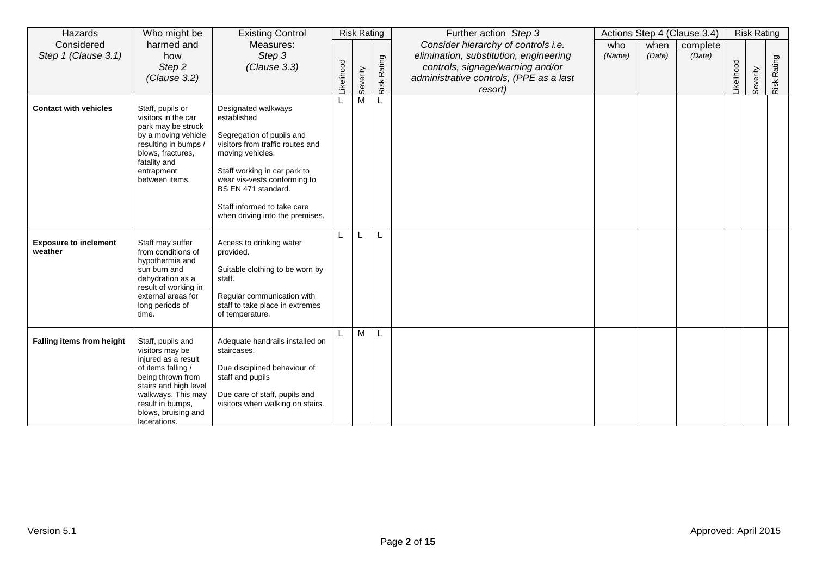| Hazards                                 | Who might be                                                                     | <b>Existing Control</b>                                                             |           | <b>Risk Rating</b> |        | Further action Step 3                                                       |        |        | Actions Step 4 (Clause 3.4) |           | <b>Risk Rating</b> |        |
|-----------------------------------------|----------------------------------------------------------------------------------|-------------------------------------------------------------------------------------|-----------|--------------------|--------|-----------------------------------------------------------------------------|--------|--------|-----------------------------|-----------|--------------------|--------|
| Considered                              | harmed and                                                                       | Measures:                                                                           |           |                    |        | Consider hierarchy of controls i.e.                                         | who    | when   | complete                    |           |                    |        |
| Step 1 (Clause 3.1)                     | how                                                                              | Step 3                                                                              |           |                    | Rating | elimination, substitution, engineering                                      | (Name) | (Date) | (Date)                      |           |                    | Rating |
|                                         | Step 2<br>(Clause 3.2)                                                           | (Clause 3.3)                                                                        |           |                    |        | controls, signage/warning and/or<br>administrative controls, (PPE as a last |        |        |                             |           |                    |        |
|                                         |                                                                                  |                                                                                     | ikelihood | Severity           | Risk   | resort)                                                                     |        |        |                             | ikelihood | Severity           | Risk   |
|                                         |                                                                                  |                                                                                     |           | M                  | L      |                                                                             |        |        |                             |           |                    |        |
| <b>Contact with vehicles</b>            | Staff, pupils or<br>visitors in the car<br>park may be struck                    | Designated walkways<br>established                                                  |           |                    |        |                                                                             |        |        |                             |           |                    |        |
|                                         | by a moving vehicle<br>resulting in bumps /<br>blows, fractures,<br>fatality and | Segregation of pupils and<br>visitors from traffic routes and<br>moving vehicles.   |           |                    |        |                                                                             |        |        |                             |           |                    |        |
|                                         | entrapment<br>between items.                                                     | Staff working in car park to<br>wear vis-vests conforming to<br>BS EN 471 standard. |           |                    |        |                                                                             |        |        |                             |           |                    |        |
|                                         |                                                                                  | Staff informed to take care<br>when driving into the premises.                      |           |                    |        |                                                                             |        |        |                             |           |                    |        |
| <b>Exposure to inclement</b><br>weather | Staff may suffer<br>from conditions of<br>hypothermia and                        | Access to drinking water<br>provided.                                               |           | L                  | L      |                                                                             |        |        |                             |           |                    |        |
|                                         | sun burn and<br>dehydration as a<br>result of working in                         | Suitable clothing to be worn by<br>staff.                                           |           |                    |        |                                                                             |        |        |                             |           |                    |        |
|                                         | external areas for<br>long periods of<br>time.                                   | Regular communication with<br>staff to take place in extremes<br>of temperature.    |           |                    |        |                                                                             |        |        |                             |           |                    |        |
| Falling items from height               | Staff, pupils and<br>visitors may be<br>injured as a result                      | Adequate handrails installed on<br>staircases.                                      |           | M                  |        |                                                                             |        |        |                             |           |                    |        |
|                                         | of items falling /<br>being thrown from<br>stairs and high level                 | Due disciplined behaviour of<br>staff and pupils                                    |           |                    |        |                                                                             |        |        |                             |           |                    |        |
|                                         | walkways. This may<br>result in bumps,<br>blows, bruising and<br>lacerations.    | Due care of staff, pupils and<br>visitors when walking on stairs.                   |           |                    |        |                                                                             |        |        |                             |           |                    |        |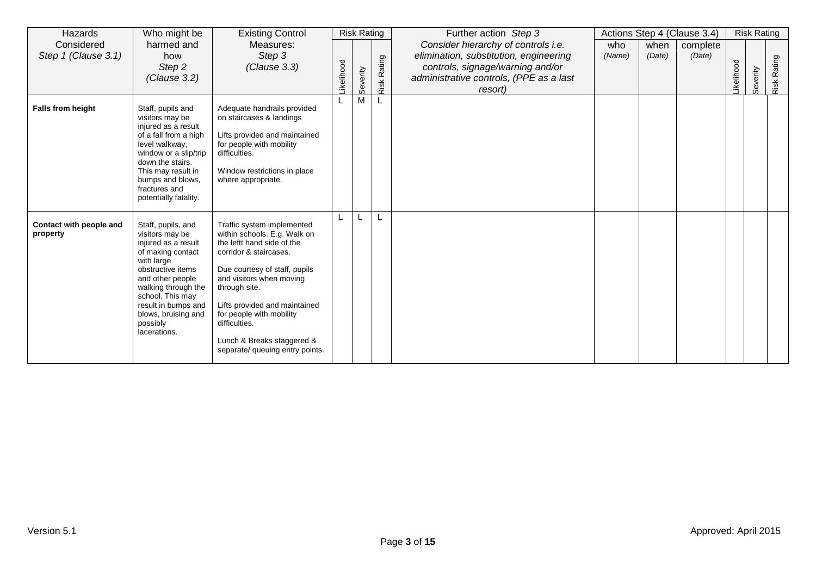| Hazards                             | Who might be                                                                                                                                                                                                                                                  | <b>Existing Control</b>                                                                                                                                                                                                                                                                                                                         |           | <b>Risk Rating</b> |                | Further action Step 3                                                                                                                                                   |               |                | Actions Step 4 (Clause 3.4) |                  | <b>Risk Rating</b> |                |
|-------------------------------------|---------------------------------------------------------------------------------------------------------------------------------------------------------------------------------------------------------------------------------------------------------------|-------------------------------------------------------------------------------------------------------------------------------------------------------------------------------------------------------------------------------------------------------------------------------------------------------------------------------------------------|-----------|--------------------|----------------|-------------------------------------------------------------------------------------------------------------------------------------------------------------------------|---------------|----------------|-----------------------------|------------------|--------------------|----------------|
| Considered<br>Step 1 (Clause 3.1)   | harmed and<br>how<br>Step 2<br>(Clause 3.2)                                                                                                                                                                                                                   | Measures:<br>Step 3<br>(Clause 3.3)                                                                                                                                                                                                                                                                                                             | ikelihood | Severity           | Rating<br>Risk | Consider hierarchy of controls i.e.<br>elimination, substitution, engineering<br>controls, signage/warning and/or<br>administrative controls, (PPE as a last<br>resort) | who<br>(Name) | when<br>(Date) | complete<br>(Date)          | <b>ikelihood</b> | Severity           | Rating<br>Risk |
| <b>Falls from height</b>            | Staff, pupils and<br>visitors may be<br>injured as a result<br>of a fall from a high<br>level walkway,<br>window or a slip/trip<br>down the stairs.<br>This may result in<br>bumps and blows,<br>fractures and<br>potentially fatality.                       | Adequate handrails provided<br>on staircases & landings<br>Lifts provided and maintained<br>for people with mobility<br>difficulties.<br>Window restrictions in place<br>where appropriate.                                                                                                                                                     |           | M                  |                |                                                                                                                                                                         |               |                |                             |                  |                    |                |
| Contact with people and<br>property | Staff, pupils, and<br>visitors may be<br>injured as a result<br>of making contact<br>with large<br>obstructive items<br>and other people<br>walking through the<br>school. This may<br>result in bumps and<br>blows, bruising and<br>possibly<br>lacerations. | Traffic system implemented<br>within schools. E.g. Walk on<br>the leftt hand side of the<br>corridor & staircases.<br>Due courtesy of staff, pupils<br>and visitors when moving<br>through site.<br>Lifts provided and maintained<br>for people with mobility<br>difficulties.<br>Lunch & Breaks staggered &<br>separate/ queuing entry points. |           |                    |                |                                                                                                                                                                         |               |                |                             |                  |                    |                |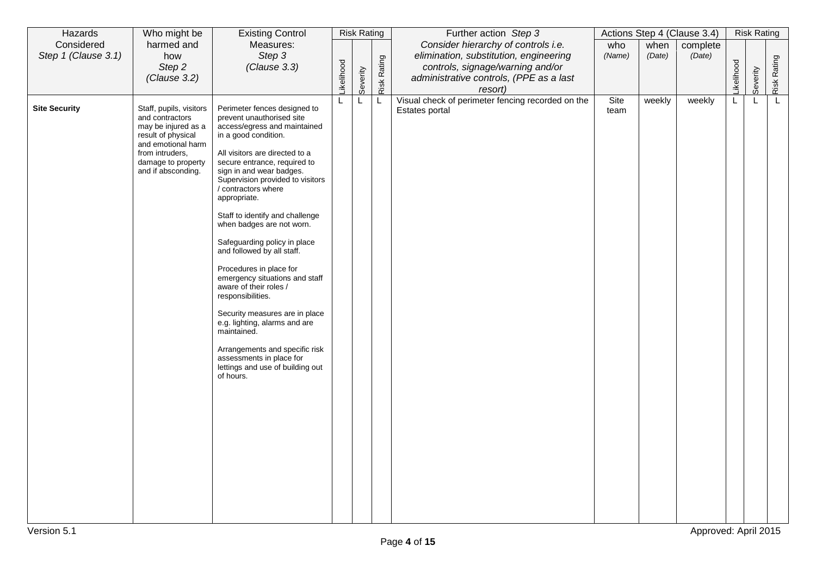| Hazards                             | Who might be                                                                                                                                                                 | <b>Existing Control</b>                                                                                                                                                                                                                                                                                                                                                                                                                                                                                                                                                                                                                                                                                                               |            | <b>Risk Rating</b> |             | Further action Step 3                                                                                                                                                   |               |                | Actions Step 4 (Clause 3.4)    |            | <b>Risk Rating</b> |             |
|-------------------------------------|------------------------------------------------------------------------------------------------------------------------------------------------------------------------------|---------------------------------------------------------------------------------------------------------------------------------------------------------------------------------------------------------------------------------------------------------------------------------------------------------------------------------------------------------------------------------------------------------------------------------------------------------------------------------------------------------------------------------------------------------------------------------------------------------------------------------------------------------------------------------------------------------------------------------------|------------|--------------------|-------------|-------------------------------------------------------------------------------------------------------------------------------------------------------------------------|---------------|----------------|--------------------------------|------------|--------------------|-------------|
| Considered<br>Step 1 (Clause 3.1)   | harmed and<br>how<br>Step 2<br>(Clause 3.2)                                                                                                                                  | Measures:<br>Step 3<br>(Clause 3.3)                                                                                                                                                                                                                                                                                                                                                                                                                                                                                                                                                                                                                                                                                                   | Likelihood | Severity           | Risk Rating | Consider hierarchy of controls i.e.<br>elimination, substitution, engineering<br>controls, signage/warning and/or<br>administrative controls, (PPE as a last<br>resort) | who<br>(Name) | when<br>(Date) | complete<br>(Date)             | Likelihood | Severity           | Risk Rating |
| <b>Site Security</b><br>Version 5.1 | Staff, pupils, visitors<br>and contractors<br>may be injured as a<br>result of physical<br>and emotional harm<br>from intruders,<br>damage to property<br>and if absconding. | Perimeter fences designed to<br>prevent unauthorised site<br>access/egress and maintained<br>in a good condition.<br>All visitors are directed to a<br>secure entrance, required to<br>sign in and wear badges.<br>Supervision provided to visitors<br>/ contractors where<br>appropriate.<br>Staff to identify and challenge<br>when badges are not worn.<br>Safeguarding policy in place<br>and followed by all staff.<br>Procedures in place for<br>emergency situations and staff<br>aware of their roles /<br>responsibilities.<br>Security measures are in place<br>e.g. lighting, alarms and are<br>maintained.<br>Arrangements and specific risk<br>assessments in place for<br>lettings and use of building out<br>of hours. |            | L                  | L           | Visual check of perimeter fencing recorded on the<br>Estates portal                                                                                                     | Site<br>team  | weekly         | weekly<br>Approved: April 2015 | L          | L                  | L.          |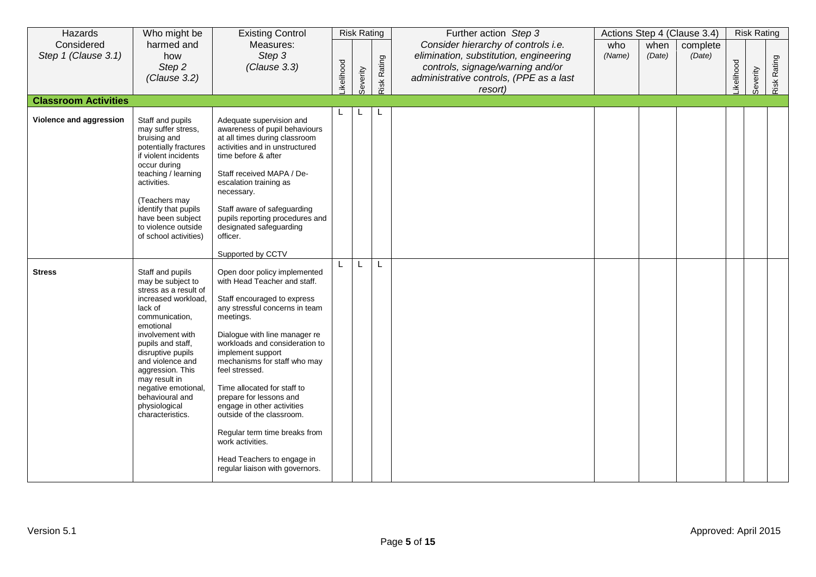| Hazards                           | Who might be                                                                                                                                                                                                                                                                                                                          | <b>Existing Control</b>                                                                                                                                                                                                                                                                                                                                                                                                                                                                                                         |           | <b>Risk Rating</b> |             | Further action Step 3                                                                                                                                                   |               |                | Actions Step 4 (Clause 3.4) |           | <b>Risk Rating</b> |             |
|-----------------------------------|---------------------------------------------------------------------------------------------------------------------------------------------------------------------------------------------------------------------------------------------------------------------------------------------------------------------------------------|---------------------------------------------------------------------------------------------------------------------------------------------------------------------------------------------------------------------------------------------------------------------------------------------------------------------------------------------------------------------------------------------------------------------------------------------------------------------------------------------------------------------------------|-----------|--------------------|-------------|-------------------------------------------------------------------------------------------------------------------------------------------------------------------------|---------------|----------------|-----------------------------|-----------|--------------------|-------------|
| Considered<br>Step 1 (Clause 3.1) | harmed and<br>how<br>Step 2<br>(Clause 3.2)                                                                                                                                                                                                                                                                                           | Measures:<br>Step 3<br>(Clause 3.3)                                                                                                                                                                                                                                                                                                                                                                                                                                                                                             | ikelihood | Severity           | Risk Rating | Consider hierarchy of controls i.e.<br>elimination, substitution, engineering<br>controls, signage/warning and/or<br>administrative controls, (PPE as a last<br>resort) | who<br>(Name) | when<br>(Date) | complete<br>(Date)          | ikelihood | Severity           | Risk Rating |
| <b>Classroom Activities</b>       |                                                                                                                                                                                                                                                                                                                                       |                                                                                                                                                                                                                                                                                                                                                                                                                                                                                                                                 |           |                    |             |                                                                                                                                                                         |               |                |                             |           |                    |             |
| Violence and aggression           | Staff and pupils<br>may suffer stress,<br>bruising and<br>potentially fractures<br>if violent incidents<br>occur during<br>teaching / learning<br>activities.<br>(Teachers may<br>identify that pupils<br>have been subject<br>to violence outside<br>of school activities)                                                           | Adequate supervision and<br>awareness of pupil behaviours<br>at all times during classroom<br>activities and in unstructured<br>time before & after<br>Staff received MAPA / De-<br>escalation training as<br>necessary.<br>Staff aware of safeguarding<br>pupils reporting procedures and<br>designated safeguarding<br>officer.<br>Supported by CCTV                                                                                                                                                                          | L.        | L                  | L           |                                                                                                                                                                         |               |                |                             |           |                    |             |
| <b>Stress</b>                     | Staff and pupils<br>may be subject to<br>stress as a result of<br>increased workload,<br>lack of<br>communication,<br>emotional<br>involvement with<br>pupils and staff,<br>disruptive pupils<br>and violence and<br>aggression. This<br>may result in<br>negative emotional,<br>behavioural and<br>physiological<br>characteristics. | Open door policy implemented<br>with Head Teacher and staff.<br>Staff encouraged to express<br>any stressful concerns in team<br>meetings.<br>Dialogue with line manager re<br>workloads and consideration to<br>implement support<br>mechanisms for staff who may<br>feel stressed.<br>Time allocated for staff to<br>prepare for lessons and<br>engage in other activities<br>outside of the classroom.<br>Regular term time breaks from<br>work activities.<br>Head Teachers to engage in<br>regular liaison with governors. |           |                    |             |                                                                                                                                                                         |               |                |                             |           |                    |             |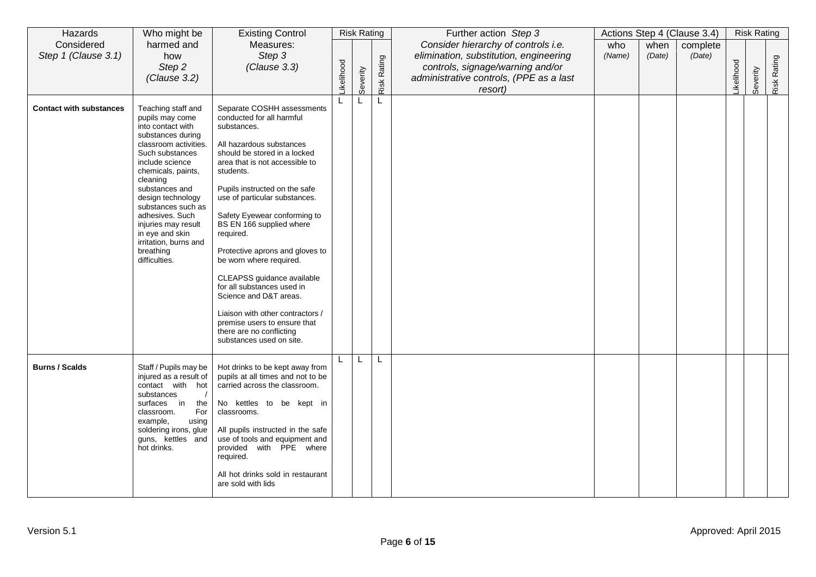| Hazards                           | Who might be                                                                                                                                                                                                                                                                                                                                                      | <b>Existing Control</b>                                                                                                                                                                                                                                                                                                                                                                                                                                                                                                                                                                                      |           | <b>Risk Rating</b> |                    | Further action Step 3                                                                                                                                                   |               |                | Actions Step 4 (Clause 3.4) |                  | <b>Risk Rating</b> |             |
|-----------------------------------|-------------------------------------------------------------------------------------------------------------------------------------------------------------------------------------------------------------------------------------------------------------------------------------------------------------------------------------------------------------------|--------------------------------------------------------------------------------------------------------------------------------------------------------------------------------------------------------------------------------------------------------------------------------------------------------------------------------------------------------------------------------------------------------------------------------------------------------------------------------------------------------------------------------------------------------------------------------------------------------------|-----------|--------------------|--------------------|-------------------------------------------------------------------------------------------------------------------------------------------------------------------------|---------------|----------------|-----------------------------|------------------|--------------------|-------------|
| Considered<br>Step 1 (Clause 3.1) | harmed and<br>how<br>Step 2<br>(Clause 3.2)                                                                                                                                                                                                                                                                                                                       | Measures:<br>Step 3<br>(Clause 3.3)                                                                                                                                                                                                                                                                                                                                                                                                                                                                                                                                                                          | ikelihood | Severity           | <b>Risk Rating</b> | Consider hierarchy of controls i.e.<br>elimination, substitution, engineering<br>controls, signage/warning and/or<br>administrative controls, (PPE as a last<br>resort) | who<br>(Name) | when<br>(Date) | complete<br>(Date)          | <b>ikelihood</b> | Severity           | Risk Rating |
| <b>Contact with substances</b>    | Teaching staff and<br>pupils may come<br>into contact with<br>substances during<br>classroom activities.<br>Such substances<br>include science<br>chemicals, paints,<br>cleaning<br>substances and<br>design technology<br>substances such as<br>adhesives. Such<br>injuries may result<br>in eye and skin<br>irritation, burns and<br>breathing<br>difficulties. | Separate COSHH assessments<br>conducted for all harmful<br>substances.<br>All hazardous substances<br>should be stored in a locked<br>area that is not accessible to<br>students.<br>Pupils instructed on the safe<br>use of particular substances.<br>Safety Eyewear conforming to<br>BS EN 166 supplied where<br>required.<br>Protective aprons and gloves to<br>be worn where required.<br>CLEAPSS guidance available<br>for all substances used in<br>Science and D&T areas.<br>Liaison with other contractors /<br>premise users to ensure that<br>there are no conflicting<br>substances used on site. |           | L                  | L                  |                                                                                                                                                                         |               |                |                             |                  |                    |             |
| <b>Burns / Scalds</b>             | Staff / Pupils may be<br>injured as a result of<br>contact with hot<br>substances<br>surfaces in<br>the<br>For<br>classroom.<br>example,<br>using<br>soldering irons, glue<br>guns, kettles and<br>hot drinks.                                                                                                                                                    | Hot drinks to be kept away from<br>pupils at all times and not to be<br>carried across the classroom.<br>No kettles to be kept in<br>classrooms.<br>All pupils instructed in the safe<br>use of tools and equipment and<br>provided with PPE where<br>required.<br>All hot drinks sold in restaurant<br>are sold with lids                                                                                                                                                                                                                                                                                   |           | L                  | L                  |                                                                                                                                                                         |               |                |                             |                  |                    |             |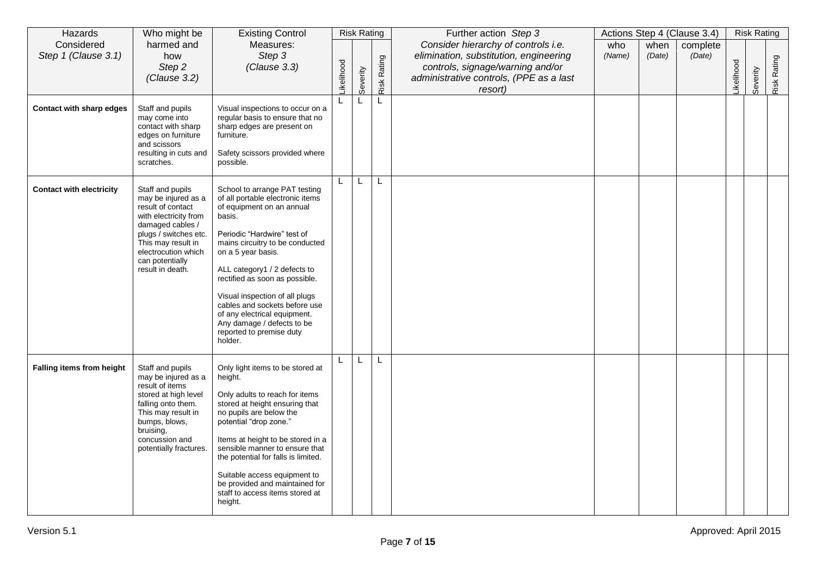| Hazards                           | Who might be                                                                                                                                                                                                           | <b>Existing Control</b>                                                                                                                                                                                                                                                                                                                                                                                                                    |              | <b>Risk Rating</b> |             | Further action Step 3                                                                                                                                                   |               |                | Actions Step 4 (Clause 3.4) |           | <b>Risk Rating</b> |             |
|-----------------------------------|------------------------------------------------------------------------------------------------------------------------------------------------------------------------------------------------------------------------|--------------------------------------------------------------------------------------------------------------------------------------------------------------------------------------------------------------------------------------------------------------------------------------------------------------------------------------------------------------------------------------------------------------------------------------------|--------------|--------------------|-------------|-------------------------------------------------------------------------------------------------------------------------------------------------------------------------|---------------|----------------|-----------------------------|-----------|--------------------|-------------|
| Considered<br>Step 1 (Clause 3.1) | harmed and<br>how<br>Step 2<br>(Clause 3.2)                                                                                                                                                                            | Measures:<br>Step 3<br>(Clause 3.3)                                                                                                                                                                                                                                                                                                                                                                                                        | ikelihood    | Severity           | Risk Rating | Consider hierarchy of controls i.e.<br>elimination, substitution, engineering<br>controls, signage/warning and/or<br>administrative controls, (PPE as a last<br>resort) | who<br>(Name) | when<br>(Date) | complete<br>(Date)          | ikelihood | Severity           | Risk Rating |
| Contact with sharp edges          | Staff and pupils<br>may come into<br>contact with sharp<br>edges on furniture<br>and scissors<br>resulting in cuts and<br>scratches.                                                                                   | Visual inspections to occur on a<br>regular basis to ensure that no<br>sharp edges are present on<br>furniture.<br>Safety scissors provided where<br>possible.                                                                                                                                                                                                                                                                             |              |                    | L           |                                                                                                                                                                         |               |                |                             |           |                    |             |
| <b>Contact with electricity</b>   | Staff and pupils<br>may be injured as a<br>result of contact<br>with electricity from<br>damaged cables /<br>plugs / switches etc.<br>This may result in<br>electrocution which<br>can potentially<br>result in death. | School to arrange PAT testing<br>of all portable electronic items<br>of equipment on an annual<br>basis.<br>Periodic "Hardwire" test of<br>mains circuitry to be conducted<br>on a 5 year basis.<br>ALL category1 / 2 defects to<br>rectified as soon as possible.<br>Visual inspection of all plugs<br>cables and sockets before use<br>of any electrical equipment.<br>Any damage / defects to be<br>reported to premise duty<br>holder. | $\mathsf{L}$ | L                  | L           |                                                                                                                                                                         |               |                |                             |           |                    |             |
| Falling items from height         | Staff and pupils<br>may be injured as a<br>result of items<br>stored at high level<br>falling onto them.<br>This may result in<br>bumps, blows,<br>bruising,<br>concussion and<br>potentially fractures.               | Only light items to be stored at<br>height.<br>Only adults to reach for items<br>stored at height ensuring that<br>no pupils are below the<br>potential "drop zone."<br>Items at height to be stored in a<br>sensible manner to ensure that<br>the potential for falls is limited.<br>Suitable access equipment to<br>be provided and maintained for<br>staff to access items stored at<br>height.                                         |              | L                  | L           |                                                                                                                                                                         |               |                |                             |           |                    |             |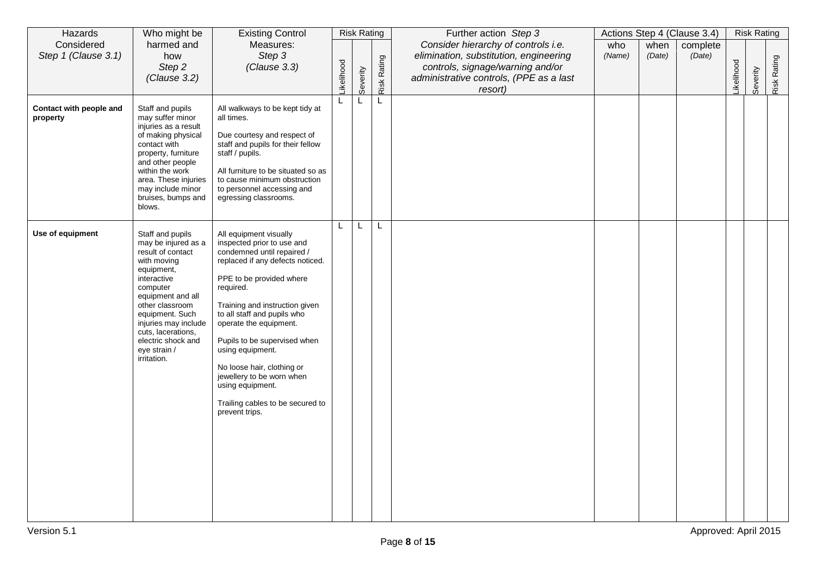| Hazards                             | Who might be                                                                                                                                                                                                                                                                       | <b>Existing Control</b>                                                                                                                                                                                                                                                                                                                                                                                                                             |                  | <b>Risk Rating</b> |             | Further action Step 3                                                                                                                                                   |               |                | Actions Step 4 (Clause 3.4) |            | <b>Risk Rating</b> |             |
|-------------------------------------|------------------------------------------------------------------------------------------------------------------------------------------------------------------------------------------------------------------------------------------------------------------------------------|-----------------------------------------------------------------------------------------------------------------------------------------------------------------------------------------------------------------------------------------------------------------------------------------------------------------------------------------------------------------------------------------------------------------------------------------------------|------------------|--------------------|-------------|-------------------------------------------------------------------------------------------------------------------------------------------------------------------------|---------------|----------------|-----------------------------|------------|--------------------|-------------|
| Considered<br>Step 1 (Clause 3.1)   | harmed and<br>how<br>Step 2<br>(Clause 3.2)                                                                                                                                                                                                                                        | Measures:<br>Step 3<br>(Clause 3.3)                                                                                                                                                                                                                                                                                                                                                                                                                 | <b>ikelihood</b> | Severity           | Risk Rating | Consider hierarchy of controls i.e.<br>elimination, substitution, engineering<br>controls, signage/warning and/or<br>administrative controls, (PPE as a last<br>resort) | who<br>(Name) | when<br>(Date) | complete<br>(Date)          | Likelihood | Severity           | Risk Rating |
| Contact with people and<br>property | Staff and pupils<br>may suffer minor<br>injuries as a result<br>of making physical<br>contact with<br>property, furniture<br>and other people<br>within the work<br>area. These injuries<br>may include minor<br>bruises, bumps and<br>blows.                                      | All walkways to be kept tidy at<br>all times.<br>Due courtesy and respect of<br>staff and pupils for their fellow<br>staff / pupils.<br>All furniture to be situated so as<br>to cause minimum obstruction<br>to personnel accessing and<br>egressing classrooms.                                                                                                                                                                                   | L                | L                  | L           |                                                                                                                                                                         |               |                |                             |            |                    |             |
| Use of equipment                    | Staff and pupils<br>may be injured as a<br>result of contact<br>with moving<br>equipment,<br>interactive<br>computer<br>equipment and all<br>other classroom<br>equipment. Such<br>injuries may include<br>cuts, lacerations,<br>electric shock and<br>eye strain /<br>irritation. | All equipment visually<br>inspected prior to use and<br>condemned until repaired /<br>replaced if any defects noticed.<br>PPE to be provided where<br>required.<br>Training and instruction given<br>to all staff and pupils who<br>operate the equipment.<br>Pupils to be supervised when<br>using equipment.<br>No loose hair, clothing or<br>jewellery to be worn when<br>using equipment.<br>Trailing cables to be secured to<br>prevent trips. | L                | L                  | L           |                                                                                                                                                                         |               |                |                             |            |                    |             |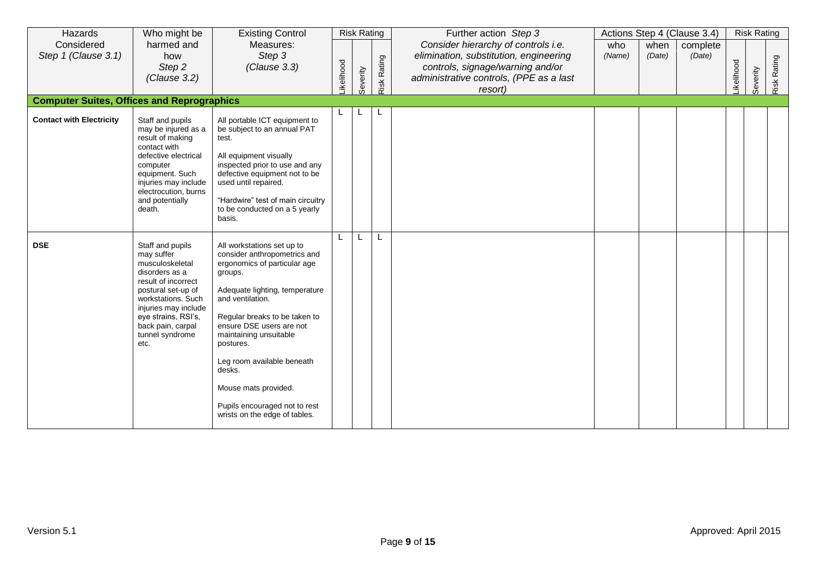| Hazards                                           | Who might be                                                                                                                                                                                                                          | <b>Existing Control</b>                                                                                                                                                                                                                                                                                                                                                                           |           | <b>Risk Rating</b> |             | Further action Step 3                                                                                                                                                   |               |                | Actions Step 4 (Clause 3.4) |           | <b>Risk Rating</b> |             |
|---------------------------------------------------|---------------------------------------------------------------------------------------------------------------------------------------------------------------------------------------------------------------------------------------|---------------------------------------------------------------------------------------------------------------------------------------------------------------------------------------------------------------------------------------------------------------------------------------------------------------------------------------------------------------------------------------------------|-----------|--------------------|-------------|-------------------------------------------------------------------------------------------------------------------------------------------------------------------------|---------------|----------------|-----------------------------|-----------|--------------------|-------------|
| Considered<br>Step 1 (Clause 3.1)                 | harmed and<br>how<br>Step 2<br>(Clause 3.2)                                                                                                                                                                                           | Measures:<br>Step 3<br>(Clause 3.3)                                                                                                                                                                                                                                                                                                                                                               | ikelihood | Severity           | Risk Rating | Consider hierarchy of controls i.e.<br>elimination, substitution, engineering<br>controls, signage/warning and/or<br>administrative controls, (PPE as a last<br>resort) | who<br>(Name) | when<br>(Date) | complete<br>(Date)          | ikelihood | Severity           | Risk Rating |
| <b>Computer Suites, Offices and Reprographics</b> |                                                                                                                                                                                                                                       |                                                                                                                                                                                                                                                                                                                                                                                                   |           |                    |             |                                                                                                                                                                         |               |                |                             |           |                    |             |
| <b>Contact with Electricity</b>                   | Staff and pupils<br>may be injured as a<br>result of making<br>contact with<br>defective electrical<br>computer<br>equipment. Such<br>injuries may include<br>electrocution, burns<br>and potentially<br>death.                       | All portable ICT equipment to<br>be subject to an annual PAT<br>test.<br>All equipment visually<br>inspected prior to use and any<br>defective equipment not to be<br>used until repaired.<br>"Hardwire" test of main circuitry<br>to be conducted on a 5 yearly<br>basis.                                                                                                                        |           | L                  |             |                                                                                                                                                                         |               |                |                             |           |                    |             |
| <b>DSE</b>                                        | Staff and pupils<br>may suffer<br>musculoskeletal<br>disorders as a<br>result of incorrect<br>postural set-up of<br>workstations. Such<br>injuries may include<br>eye strains, RSI's,<br>back pain, carpal<br>tunnel syndrome<br>etc. | All workstations set up to<br>consider anthropometrics and<br>ergonomics of particular age<br>groups.<br>Adequate lighting, temperature<br>and ventilation.<br>Regular breaks to be taken to<br>ensure DSE users are not<br>maintaining unsuitable<br>postures.<br>Leg room available beneath<br>desks.<br>Mouse mats provided.<br>Pupils encouraged not to rest<br>wrists on the edge of tables. |           | L                  |             |                                                                                                                                                                         |               |                |                             |           |                    |             |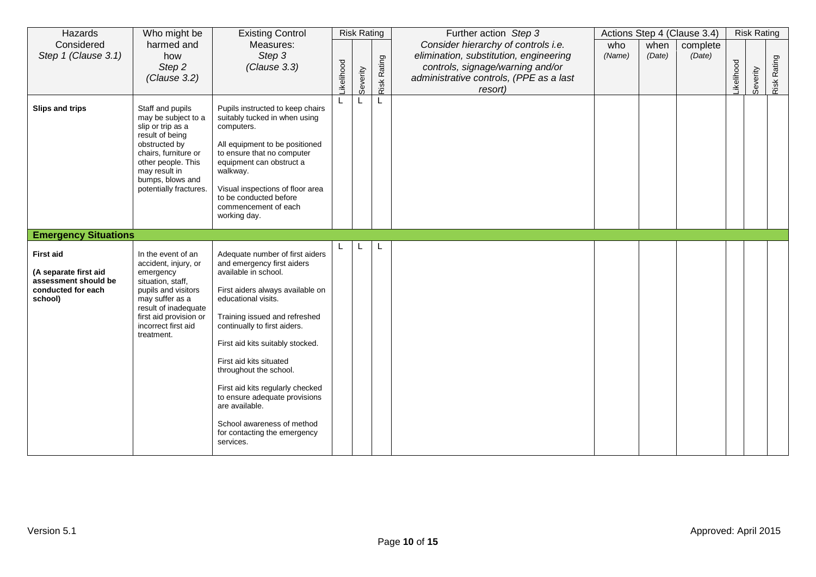| Hazards                                                                                            | Who might be                                                                                                                                                                                                  | <b>Existing Control</b>                                                                                                                                                                                                                                                                                                                                                                                                                                                      |           |          | <b>Risk Rating</b> | Further action Step 3                                                                                                                                                   |               |                | Actions Step 4 (Clause 3.4) |           | <b>Risk Rating</b> |             |
|----------------------------------------------------------------------------------------------------|---------------------------------------------------------------------------------------------------------------------------------------------------------------------------------------------------------------|------------------------------------------------------------------------------------------------------------------------------------------------------------------------------------------------------------------------------------------------------------------------------------------------------------------------------------------------------------------------------------------------------------------------------------------------------------------------------|-----------|----------|--------------------|-------------------------------------------------------------------------------------------------------------------------------------------------------------------------|---------------|----------------|-----------------------------|-----------|--------------------|-------------|
| Considered<br>Step 1 (Clause 3.1)                                                                  | harmed and<br>how<br>Step 2<br>(Clause 3.2)                                                                                                                                                                   | Measures:<br>Step 3<br>(Clause 3.3)                                                                                                                                                                                                                                                                                                                                                                                                                                          | ikelihood | Severity | Risk Rating        | Consider hierarchy of controls i.e.<br>elimination, substitution, engineering<br>controls, signage/warning and/or<br>administrative controls, (PPE as a last<br>resort) | who<br>(Name) | when<br>(Date) | complete<br>(Date)          | ikelihood | Severity           | Risk Rating |
| Slips and trips                                                                                    | Staff and pupils<br>may be subject to a<br>slip or trip as a<br>result of being<br>obstructed by<br>chairs, furniture or<br>other people. This<br>may result in<br>bumps, blows and<br>potentially fractures. | Pupils instructed to keep chairs<br>suitably tucked in when using<br>computers.<br>All equipment to be positioned<br>to ensure that no computer<br>equipment can obstruct a<br>walkway.<br>Visual inspections of floor area<br>to be conducted before<br>commencement of each<br>working day.                                                                                                                                                                                |           |          |                    |                                                                                                                                                                         |               |                |                             |           |                    |             |
| <b>Emergency Situations</b>                                                                        |                                                                                                                                                                                                               |                                                                                                                                                                                                                                                                                                                                                                                                                                                                              |           |          |                    |                                                                                                                                                                         |               |                |                             |           |                    |             |
| <b>First aid</b><br>(A separate first aid<br>assessment should be<br>conducted for each<br>school) | In the event of an<br>accident, injury, or<br>emergency<br>situation, staff,<br>pupils and visitors<br>may suffer as a<br>result of inadequate<br>first aid provision or<br>incorrect first aid<br>treatment. | Adequate number of first aiders<br>and emergency first aiders<br>available in school.<br>First aiders always available on<br>educational visits.<br>Training issued and refreshed<br>continually to first aiders.<br>First aid kits suitably stocked.<br>First aid kits situated<br>throughout the school.<br>First aid kits regularly checked<br>to ensure adequate provisions<br>are available.<br>School awareness of method<br>for contacting the emergency<br>services. |           |          |                    |                                                                                                                                                                         |               |                |                             |           |                    |             |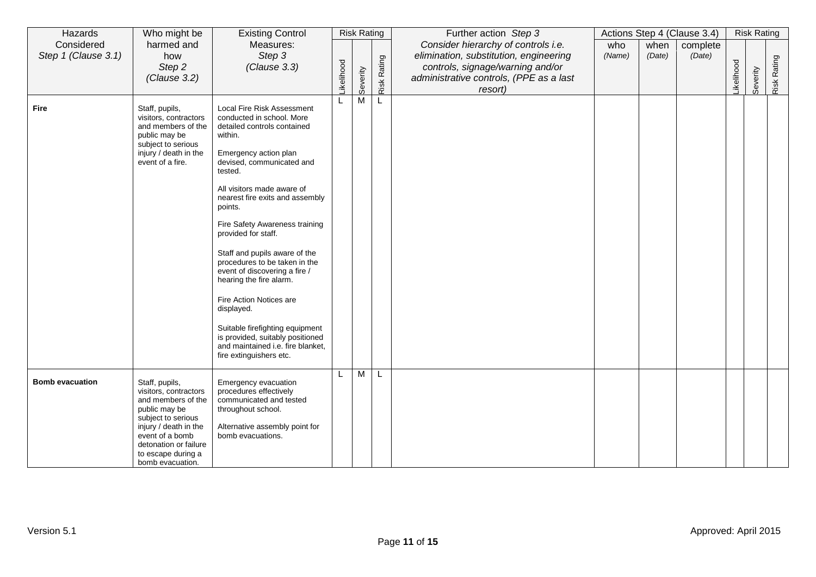| Hazards                           | Who might be                                                                                                                                                                                                        | <b>Existing Control</b>                                                                                                                                                                                                                                                                                                                                                                                                                                                                                                                                                                                               |           | <b>Risk Rating</b> |             | Further action Step 3                                                                                                                                                   |               |                | Actions Step 4 (Clause 3.4) |                  | <b>Risk Rating</b> |             |
|-----------------------------------|---------------------------------------------------------------------------------------------------------------------------------------------------------------------------------------------------------------------|-----------------------------------------------------------------------------------------------------------------------------------------------------------------------------------------------------------------------------------------------------------------------------------------------------------------------------------------------------------------------------------------------------------------------------------------------------------------------------------------------------------------------------------------------------------------------------------------------------------------------|-----------|--------------------|-------------|-------------------------------------------------------------------------------------------------------------------------------------------------------------------------|---------------|----------------|-----------------------------|------------------|--------------------|-------------|
| Considered<br>Step 1 (Clause 3.1) | harmed and<br>how<br>Step 2<br>(Clause 3.2)                                                                                                                                                                         | Measures:<br>Step 3<br>(Clause 3.3)                                                                                                                                                                                                                                                                                                                                                                                                                                                                                                                                                                                   | ikelihood | Severity           | Risk Rating | Consider hierarchy of controls i.e.<br>elimination, substitution, engineering<br>controls, signage/warning and/or<br>administrative controls, (PPE as a last<br>resort) | who<br>(Name) | when<br>(Date) | complete<br>(Date)          | <b>ikelihood</b> | Severity           | Risk Rating |
| <b>Fire</b>                       | Staff, pupils,<br>visitors, contractors<br>and members of the<br>public may be<br>subject to serious<br>injury / death in the<br>event of a fire.                                                                   | Local Fire Risk Assessment<br>conducted in school. More<br>detailed controls contained<br>within.<br>Emergency action plan<br>devised, communicated and<br>tested.<br>All visitors made aware of<br>nearest fire exits and assembly<br>points.<br>Fire Safety Awareness training<br>provided for staff.<br>Staff and pupils aware of the<br>procedures to be taken in the<br>event of discovering a fire /<br>hearing the fire alarm.<br>Fire Action Notices are<br>displayed.<br>Suitable firefighting equipment<br>is provided, suitably positioned<br>and maintained i.e. fire blanket,<br>fire extinguishers etc. |           | M                  | L           |                                                                                                                                                                         |               |                |                             |                  |                    |             |
| <b>Bomb evacuation</b>            | Staff, pupils,<br>visitors, contractors<br>and members of the<br>public may be<br>subject to serious<br>injury / death in the<br>event of a bomb<br>detonation or failure<br>to escape during a<br>bomb evacuation. | Emergency evacuation<br>procedures effectively<br>communicated and tested<br>throughout school.<br>Alternative assembly point for<br>bomb evacuations.                                                                                                                                                                                                                                                                                                                                                                                                                                                                |           | M                  | L           |                                                                                                                                                                         |               |                |                             |                  |                    |             |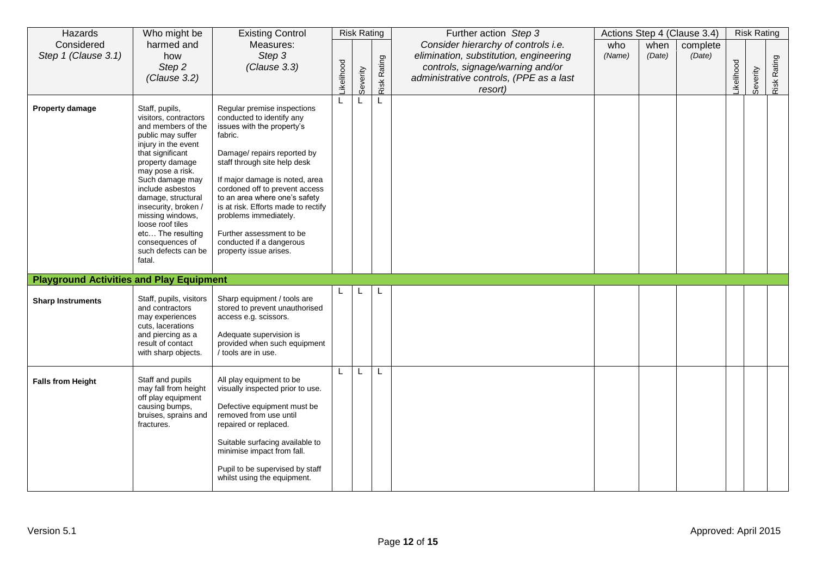| Hazards                                         | Who might be                                                                                                                                                                                                                                                                                                                                                               | <b>Existing Control</b>                                                                                                                                                                                                                                                                                                                                                                                                 |                  | <b>Risk Rating</b> |             | Further action Step 3                                                                                                                                                   |               |                | Actions Step 4 (Clause 3.4) |           | <b>Risk Rating</b> |             |
|-------------------------------------------------|----------------------------------------------------------------------------------------------------------------------------------------------------------------------------------------------------------------------------------------------------------------------------------------------------------------------------------------------------------------------------|-------------------------------------------------------------------------------------------------------------------------------------------------------------------------------------------------------------------------------------------------------------------------------------------------------------------------------------------------------------------------------------------------------------------------|------------------|--------------------|-------------|-------------------------------------------------------------------------------------------------------------------------------------------------------------------------|---------------|----------------|-----------------------------|-----------|--------------------|-------------|
| Considered<br>Step 1 (Clause 3.1)               | harmed and<br>how<br>Step 2<br>(Clause 3.2)                                                                                                                                                                                                                                                                                                                                | Measures:<br>Step 3<br>(Clause 3.3)                                                                                                                                                                                                                                                                                                                                                                                     | <b>ikelihood</b> | Severity           | Risk Rating | Consider hierarchy of controls i.e.<br>elimination, substitution, engineering<br>controls, signage/warning and/or<br>administrative controls, (PPE as a last<br>resort) | who<br>(Name) | when<br>(Date) | complete<br>(Date)          | ikelihood | Severity           | Risk Rating |
| <b>Property damage</b>                          | Staff, pupils,<br>visitors, contractors<br>and members of the<br>public may suffer<br>injury in the event<br>that significant<br>property damage<br>may pose a risk.<br>Such damage may<br>include asbestos<br>damage, structural<br>insecurity, broken /<br>missing windows,<br>loose roof tiles<br>etc The resulting<br>consequences of<br>such defects can be<br>fatal. | Regular premise inspections<br>conducted to identify any<br>issues with the property's<br>fabric.<br>Damage/ repairs reported by<br>staff through site help desk<br>If major damage is noted, area<br>cordoned off to prevent access<br>to an area where one's safety<br>is at risk. Efforts made to rectify<br>problems immediately.<br>Further assessment to be<br>conducted if a dangerous<br>property issue arises. |                  | L                  | L           |                                                                                                                                                                         |               |                |                             |           |                    |             |
| <b>Playground Activities and Play Equipment</b> |                                                                                                                                                                                                                                                                                                                                                                            |                                                                                                                                                                                                                                                                                                                                                                                                                         |                  |                    |             |                                                                                                                                                                         |               |                |                             |           |                    |             |
| <b>Sharp Instruments</b>                        | Staff, pupils, visitors<br>and contractors<br>may experiences<br>cuts, lacerations<br>and piercing as a<br>result of contact<br>with sharp objects.                                                                                                                                                                                                                        | Sharp equipment / tools are<br>stored to prevent unauthorised<br>access e.g. scissors.<br>Adequate supervision is<br>provided when such equipment<br>/ tools are in use.                                                                                                                                                                                                                                                |                  |                    |             |                                                                                                                                                                         |               |                |                             |           |                    |             |
| <b>Falls from Height</b>                        | Staff and pupils<br>may fall from height<br>off play equipment<br>causing bumps,<br>bruises, sprains and<br>fractures.                                                                                                                                                                                                                                                     | All play equipment to be<br>visually inspected prior to use.<br>Defective equipment must be<br>removed from use until<br>repaired or replaced.<br>Suitable surfacing available to<br>minimise impact from fall.<br>Pupil to be supervised by staff<br>whilst using the equipment.                                                                                                                                       |                  | L                  | L           |                                                                                                                                                                         |               |                |                             |           |                    |             |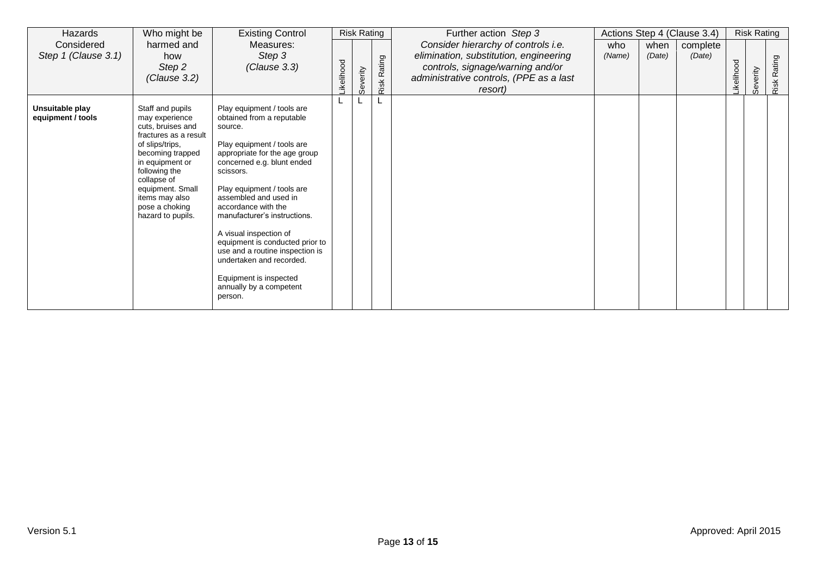| Hazards                              | Who might be                                                                                                                                                                                                                                            | <b>Existing Control</b>                                                                                                                                                                                                                                                                                                                                                                                                                                                                | <b>Risk Rating</b> |          |                | Further action Step 3                                                                                                                                                   | Actions Step 4 (Clause 3.4) |                | <b>Risk Rating</b> |           |          |                |
|--------------------------------------|---------------------------------------------------------------------------------------------------------------------------------------------------------------------------------------------------------------------------------------------------------|----------------------------------------------------------------------------------------------------------------------------------------------------------------------------------------------------------------------------------------------------------------------------------------------------------------------------------------------------------------------------------------------------------------------------------------------------------------------------------------|--------------------|----------|----------------|-------------------------------------------------------------------------------------------------------------------------------------------------------------------------|-----------------------------|----------------|--------------------|-----------|----------|----------------|
| Considered<br>Step 1 (Clause 3.1)    | harmed and<br>how<br>Step 2<br>(Clause 3.2)                                                                                                                                                                                                             | Measures:<br>Step 3<br>(Clause 3.3)                                                                                                                                                                                                                                                                                                                                                                                                                                                    | ikelihood          | Severity | Rating<br>Risk | Consider hierarchy of controls i.e.<br>elimination, substitution, engineering<br>controls, signage/warning and/or<br>administrative controls, (PPE as a last<br>resort) | who<br>(Name)               | when<br>(Date) | complete<br>(Date) | ikelihood | Severity | Rating<br>Risk |
| Unsuitable play<br>equipment / tools | Staff and pupils<br>may experience<br>cuts, bruises and<br>fractures as a result<br>of slips/trips,<br>becoming trapped<br>in equipment or<br>following the<br>collapse of<br>equipment. Small<br>items may also<br>pose a choking<br>hazard to pupils. | Play equipment / tools are<br>obtained from a reputable<br>source.<br>Play equipment / tools are<br>appropriate for the age group<br>concerned e.g. blunt ended<br>scissors.<br>Play equipment / tools are<br>assembled and used in<br>accordance with the<br>manufacturer's instructions.<br>A visual inspection of<br>equipment is conducted prior to<br>use and a routine inspection is<br>undertaken and recorded.<br>Equipment is inspected<br>annually by a competent<br>person. |                    |          |                |                                                                                                                                                                         |                             |                |                    |           |          |                |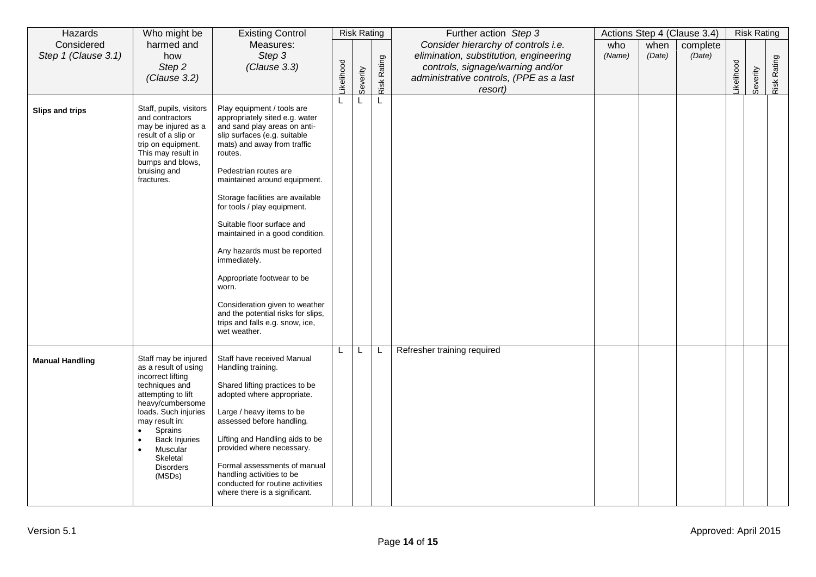| Hazards                           | Who might be                                                                                                                                                                                                                                                     | <b>Existing Control</b>                                                                                                                                                                                                                                                                                                                                                                                                                                                                                                                                                               | <b>Risk Rating</b> |          |             | Further action Step 3                                                                                                                                                   | Actions Step 4 (Clause 3.4) |                |                    | <b>Risk Rating</b> |          |             |
|-----------------------------------|------------------------------------------------------------------------------------------------------------------------------------------------------------------------------------------------------------------------------------------------------------------|---------------------------------------------------------------------------------------------------------------------------------------------------------------------------------------------------------------------------------------------------------------------------------------------------------------------------------------------------------------------------------------------------------------------------------------------------------------------------------------------------------------------------------------------------------------------------------------|--------------------|----------|-------------|-------------------------------------------------------------------------------------------------------------------------------------------------------------------------|-----------------------------|----------------|--------------------|--------------------|----------|-------------|
| Considered<br>Step 1 (Clause 3.1) | harmed and<br>how<br>Step 2<br>(Clause 3.2)                                                                                                                                                                                                                      | Measures:<br>Step 3<br>(Clause 3.3)                                                                                                                                                                                                                                                                                                                                                                                                                                                                                                                                                   | ikelihood          | Severity | Risk Rating | Consider hierarchy of controls i.e.<br>elimination, substitution, engineering<br>controls, signage/warning and/or<br>administrative controls, (PPE as a last<br>resort) | who<br>(Name)               | when<br>(Date) | complete<br>(Date) | ikelihood          | Severity | Risk Rating |
| Slips and trips                   | Staff, pupils, visitors<br>and contractors<br>may be injured as a<br>result of a slip or<br>trip on equipment.<br>This may result in<br>bumps and blows,<br>bruising and<br>fractures.                                                                           | Play equipment / tools are<br>appropriately sited e.g. water<br>and sand play areas on anti-<br>slip surfaces (e.g. suitable<br>mats) and away from traffic<br>routes.<br>Pedestrian routes are<br>maintained around equipment.<br>Storage facilities are available<br>for tools / play equipment.<br>Suitable floor surface and<br>maintained in a good condition.<br>Any hazards must be reported<br>immediately.<br>Appropriate footwear to be<br>worn.<br>Consideration given to weather<br>and the potential risks for slips,<br>trips and falls e.g. snow, ice,<br>wet weather. |                    |          |             |                                                                                                                                                                         |                             |                |                    |                    |          |             |
| <b>Manual Handling</b>            | Staff may be injured<br>as a result of using<br>incorrect lifting<br>techniques and<br>attempting to lift<br>heavy/cumbersome<br>loads. Such injuries<br>may result in:<br>Sprains<br><b>Back Injuries</b><br>Muscular<br>Skeletal<br><b>Disorders</b><br>(MSDs) | Staff have received Manual<br>Handling training.<br>Shared lifting practices to be<br>adopted where appropriate.<br>Large / heavy items to be<br>assessed before handling.<br>Lifting and Handling aids to be<br>provided where necessary.<br>Formal assessments of manual<br>handling activities to be<br>conducted for routine activities<br>where there is a significant.                                                                                                                                                                                                          |                    | L        | L           | Refresher training required                                                                                                                                             |                             |                |                    |                    |          |             |